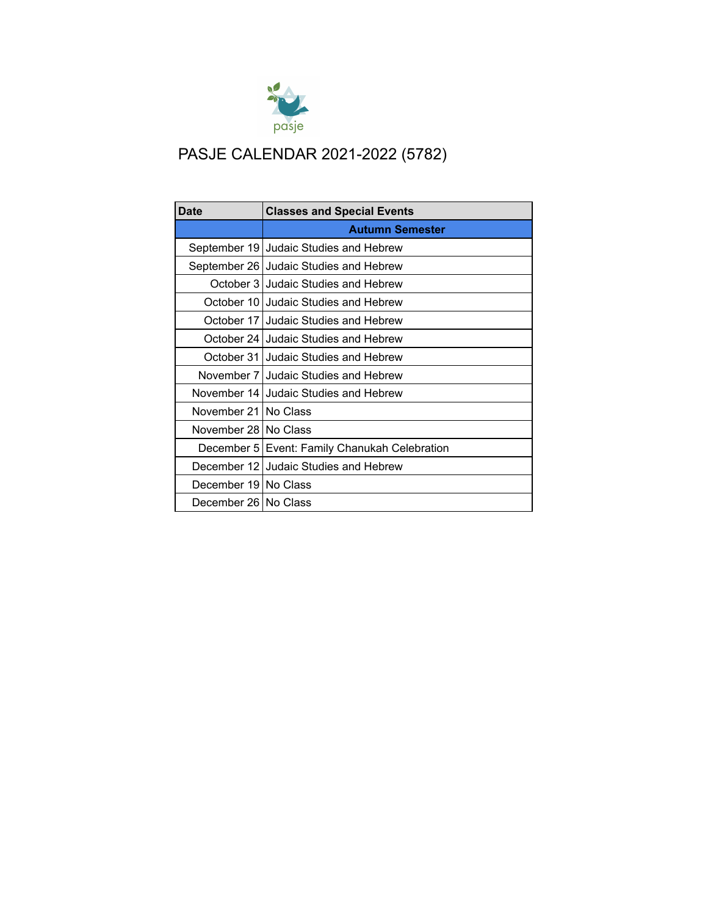

## PASJE CALENDAR 2021-2022 (5782)

| <b>Date</b>            | <b>Classes and Special Events</b>             |
|------------------------|-----------------------------------------------|
|                        | <b>Autumn Semester</b>                        |
| September 19           | Judaic Studies and Hebrew                     |
| September 26           | Judaic Studies and Hebrew                     |
|                        | October 3 Judaic Studies and Hebrew           |
| October 10             | Judaic Studies and Hebrew                     |
| October 17             | Judaic Studies and Hebrew                     |
|                        | October 24 Judaic Studies and Hebrew          |
|                        | October 31 Judaic Studies and Hebrew          |
|                        | November 7 Judaic Studies and Hebrew          |
| November 14            | Judaic Studies and Hebrew                     |
| November 21 l          | No Class                                      |
| November 28   No Class |                                               |
|                        | December 5 Event: Family Chanukah Celebration |
|                        | December 12 Judaic Studies and Hebrew         |
| December 19 No Class   |                                               |
| December 26 I No Class |                                               |